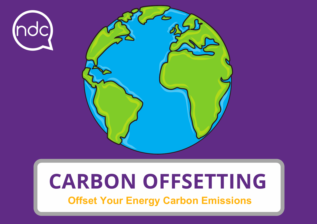



# **CARBON OFFSETTING**

**Offset Your Energy Carbon Emissions**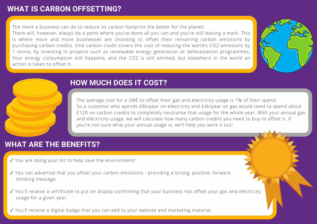## **WHAT IS CARBON OFFSETTING?**

The more a business can do to reduce its carbon footprint the better for the planet!

There will, however, always be a point where you've done all you can and you're still leaving a mark. This is where more and more businesses are choosing to offset their remaining carbon emissions by purchasing carbon credits. One carbon credit covers the cost of reducing the world's CO2 emissions by 1 tonne, by investing in projects such as renewable energy generation or deforestation programmes. Your energy consumption still happens, and the CO2 is still emitted, but elsewhere in the world an action is taken to offset it.



# **HOW MUCH DOES IT COST?**

The average cost for a SME to offset their gas and electricity usage is 1% of their spend. So a customer who spends £8k/year on electricity and £4k/year on gas would need to spend about £120 on carbon credits to completely neutralise that usage for the whole year. With your annual gas and electricity usage, we will calculate how many carbon credits you need to buy to offset it. If you're not sure what your annual usage is, we'll help you work it out!

# **WHAT ARE THE BENEFITS?**

- ✓ You are doing your bit to help save the environment!
- ✓ You can advertise that you offset your carbon emissions providing a strong, positive, forwardthinking message.
- ✓ You'll receive a certificate to put on display confirming that your business has offset your gas and electricity usage for a given year.
- ✓ You'll receive a digital badge that you can add to your website and marketing material.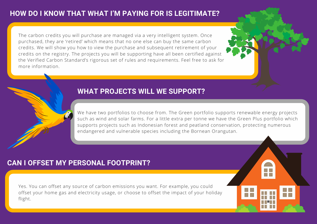The carbon credits you will purchase are managed via a very intelligent system. Once purchased, they are 'retired' which means that no one else can buy the same carbon credits. We will show you how to view the purchase and subsequent retirement of your credits on the registry. The projects you will be supporting have all been certified against the Verified Carbon Standard's rigorous set of rules and requirements. Feel free to ask for more information.

#### **WHAT PROJECTS WILL WE SUPPORT?**

We have two portfolios to choose from. The Green portfolio supports renewable energy projects such as wind and solar farms. For a little extra per tonne we have the Green Plus portfolio which supports projects such as Indonesian forest and peatland conservation, protecting numerous endangered and vulnerable species including the Bornean Orangutan.

## **CAN I OFFSET MY PERSONAL FOOTPRINT?**

Yes. You can offset any source of carbon emissions you want. For example, you could offset your home gas and electricity usage, or choose to offset the impact of your holiday flight.